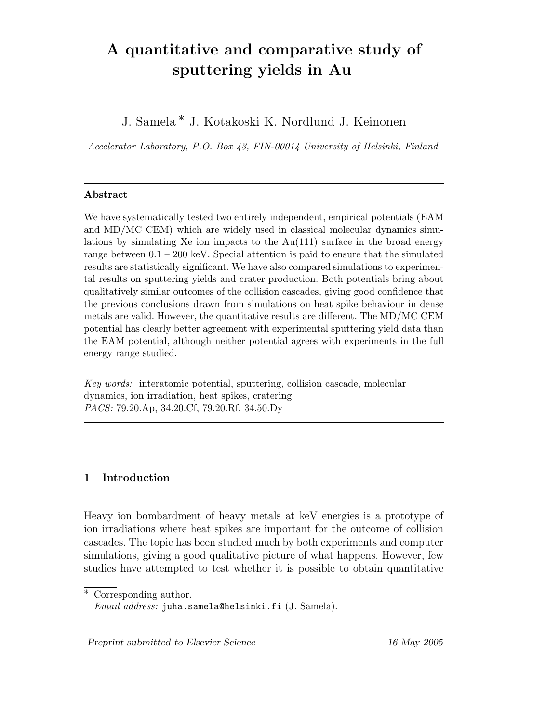# A quantitative and comparative study of sputtering yields in Au

J. Samela ∗ J. Kotakoski K. Nordlund J. Keinonen

Accelerator Laboratory, P.O. Box 43, FIN-00014 University of Helsinki, Finland

## Abstract

We have systematically tested two entirely independent, empirical potentials (EAM and MD/MC CEM) which are widely used in classical molecular dynamics simulations by simulating  $Xe$  ion impacts to the  $Au(111)$  surface in the broad energy range between  $0.1 - 200 \,\text{keV}$ . Special attention is paid to ensure that the simulated results are statistically significant. We have also compared simulations to experimental results on sputtering yields and crater production. Both potentials bring about qualitatively similar outcomes of the collision cascades, giving good confidence that the previous conclusions drawn from simulations on heat spike behaviour in dense metals are valid. However, the quantitative results are different. The MD/MC CEM potential has clearly better agreement with experimental sputtering yield data than the EAM potential, although neither potential agrees with experiments in the full energy range studied.

Key words: interatomic potential, sputtering, collision cascade, molecular dynamics, ion irradiation, heat spikes, cratering PACS: 79.20.Ap, 34.20.Cf, 79.20.Rf, 34.50.Dy

# 1 Introduction

Heavy ion bombardment of heavy metals at keV energies is a prototype of ion irradiations where heat spikes are important for the outcome of collision cascades. The topic has been studied much by both experiments and computer simulations, giving a good qualitative picture of what happens. However, few studies have attempted to test whether it is possible to obtain quantitative

Preprint submitted to Elsevier Science 16 May 2005

Corresponding author.

 $Email \ address:$  juha.samela@helsinki.fi (J. Samela).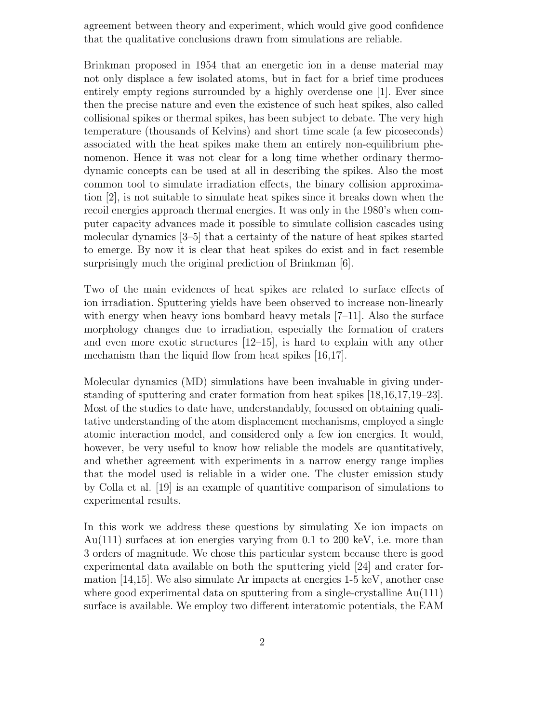agreement between theory and experiment, which would give good confidence that the qualitative conclusions drawn from simulations are reliable.

Brinkman proposed in 1954 that an energetic ion in a dense material may not only displace a few isolated atoms, but in fact for a brief time produces entirely empty regions surrounded by a highly overdense one [1]. Ever since then the precise nature and even the existence of such heat spikes, also called collisional spikes or thermal spikes, has been subject to debate. The very high temperature (thousands of Kelvins) and short time scale (a few picoseconds) associated with the heat spikes make them an entirely non-equilibrium phenomenon. Hence it was not clear for a long time whether ordinary thermodynamic concepts can be used at all in describing the spikes. Also the most common tool to simulate irradiation effects, the binary collision approximation [2], is not suitable to simulate heat spikes since it breaks down when the recoil energies approach thermal energies. It was only in the 1980's when computer capacity advances made it possible to simulate collision cascades using molecular dynamics [3–5] that a certainty of the nature of heat spikes started to emerge. By now it is clear that heat spikes do exist and in fact resemble surprisingly much the original prediction of Brinkman [6].

Two of the main evidences of heat spikes are related to surface effects of ion irradiation. Sputtering yields have been observed to increase non-linearly with energy when heavy ions bombard heavy metals [7–11]. Also the surface morphology changes due to irradiation, especially the formation of craters and even more exotic structures [12–15], is hard to explain with any other mechanism than the liquid flow from heat spikes [16,17].

Molecular dynamics (MD) simulations have been invaluable in giving understanding of sputtering and crater formation from heat spikes [18,16,17,19–23]. Most of the studies to date have, understandably, focussed on obtaining qualitative understanding of the atom displacement mechanisms, employed a single atomic interaction model, and considered only a few ion energies. It would, however, be very useful to know how reliable the models are quantitatively, and whether agreement with experiments in a narrow energy range implies that the model used is reliable in a wider one. The cluster emission study by Colla et al. [19] is an example of quantitive comparison of simulations to experimental results.

In this work we address these questions by simulating Xe ion impacts on Au(111) surfaces at ion energies varying from 0.1 to 200 keV, i.e. more than 3 orders of magnitude. We chose this particular system because there is good experimental data available on both the sputtering yield [24] and crater formation [14,15]. We also simulate Ar impacts at energies 1-5 keV, another case where good experimental data on sputtering from a single-crystalline Au(111) surface is available. We employ two different interatomic potentials, the EAM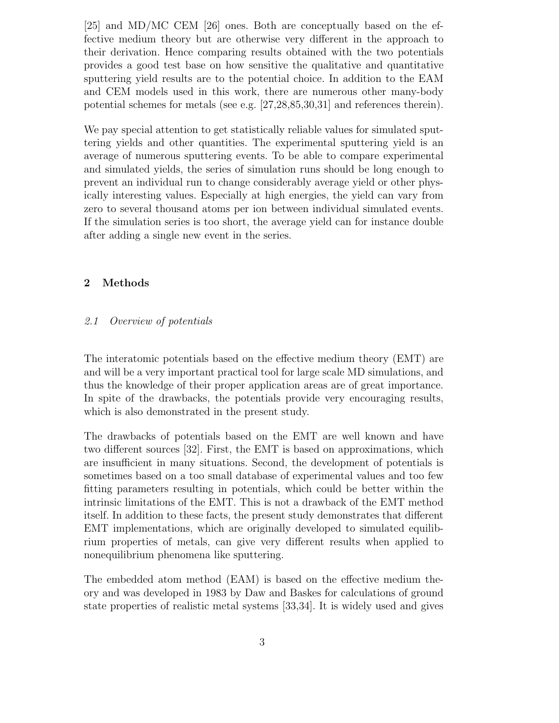[25] and MD/MC CEM [26] ones. Both are conceptually based on the effective medium theory but are otherwise very different in the approach to their derivation. Hence comparing results obtained with the two potentials provides a good test base on how sensitive the qualitative and quantitative sputtering yield results are to the potential choice. In addition to the EAM and CEM models used in this work, there are numerous other many-body potential schemes for metals (see e.g. [27,28,85,30,31] and references therein).

We pay special attention to get statistically reliable values for simulated sputtering yields and other quantities. The experimental sputtering yield is an average of numerous sputtering events. To be able to compare experimental and simulated yields, the series of simulation runs should be long enough to prevent an individual run to change considerably average yield or other physically interesting values. Especially at high energies, the yield can vary from zero to several thousand atoms per ion between individual simulated events. If the simulation series is too short, the average yield can for instance double after adding a single new event in the series.

## 2 Methods

# 2.1 Overview of potentials

The interatomic potentials based on the effective medium theory (EMT) are and will be a very important practical tool for large scale MD simulations, and thus the knowledge of their proper application areas are of great importance. In spite of the drawbacks, the potentials provide very encouraging results, which is also demonstrated in the present study.

The drawbacks of potentials based on the EMT are well known and have two different sources [32]. First, the EMT is based on approximations, which are insufficient in many situations. Second, the development of potentials is sometimes based on a too small database of experimental values and too few fitting parameters resulting in potentials, which could be better within the intrinsic limitations of the EMT. This is not a drawback of the EMT method itself. In addition to these facts, the present study demonstrates that different EMT implementations, which are originally developed to simulated equilibrium properties of metals, can give very different results when applied to nonequilibrium phenomena like sputtering.

The embedded atom method (EAM) is based on the effective medium theory and was developed in 1983 by Daw and Baskes for calculations of ground state properties of realistic metal systems [33,34]. It is widely used and gives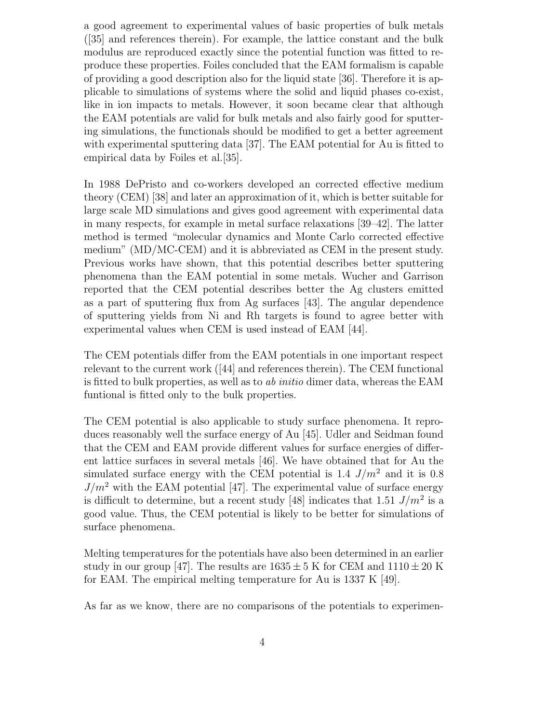a good agreement to experimental values of basic properties of bulk metals ([35] and references therein). For example, the lattice constant and the bulk modulus are reproduced exactly since the potential function was fitted to reproduce these properties. Foiles concluded that the EAM formalism is capable of providing a good description also for the liquid state [36]. Therefore it is applicable to simulations of systems where the solid and liquid phases co-exist, like in ion impacts to metals. However, it soon became clear that although the EAM potentials are valid for bulk metals and also fairly good for sputtering simulations, the functionals should be modified to get a better agreement with experimental sputtering data [37]. The EAM potential for Au is fitted to empirical data by Foiles et al.[35].

In 1988 DePristo and co-workers developed an corrected effective medium theory (CEM) [38] and later an approximation of it, which is better suitable for large scale MD simulations and gives good agreement with experimental data in many respects, for example in metal surface relaxations [39–42]. The latter method is termed "molecular dynamics and Monte Carlo corrected effective medium" (MD/MC-CEM) and it is abbreviated as CEM in the present study. Previous works have shown, that this potential describes better sputtering phenomena than the EAM potential in some metals. Wucher and Garrison reported that the CEM potential describes better the Ag clusters emitted as a part of sputtering flux from Ag surfaces [43]. The angular dependence of sputtering yields from Ni and Rh targets is found to agree better with experimental values when CEM is used instead of EAM [44].

The CEM potentials differ from the EAM potentials in one important respect relevant to the current work ([44] and references therein). The CEM functional is fitted to bulk properties, as well as to ab initio dimer data, whereas the EAM funtional is fitted only to the bulk properties.

The CEM potential is also applicable to study surface phenomena. It reproduces reasonably well the surface energy of Au [45]. Udler and Seidman found that the CEM and EAM provide different values for surface energies of different lattice surfaces in several metals [46]. We have obtained that for Au the simulated surface energy with the CEM potential is  $1.4$  J/m<sup>2</sup> and it is 0.8  $J/m^2$  with the EAM potential [47]. The experimental value of surface energy is difficult to determine, but a recent study [48] indicates that 1.51  $J/m^2$  is a good value. Thus, the CEM potential is likely to be better for simulations of surface phenomena.

Melting temperatures for the potentials have also been determined in an earlier study in our group [47]. The results are  $1635 \pm 5$  K for CEM and  $1110 \pm 20$  K for EAM. The empirical melting temperature for Au is 1337 K [49].

As far as we know, there are no comparisons of the potentials to experimen-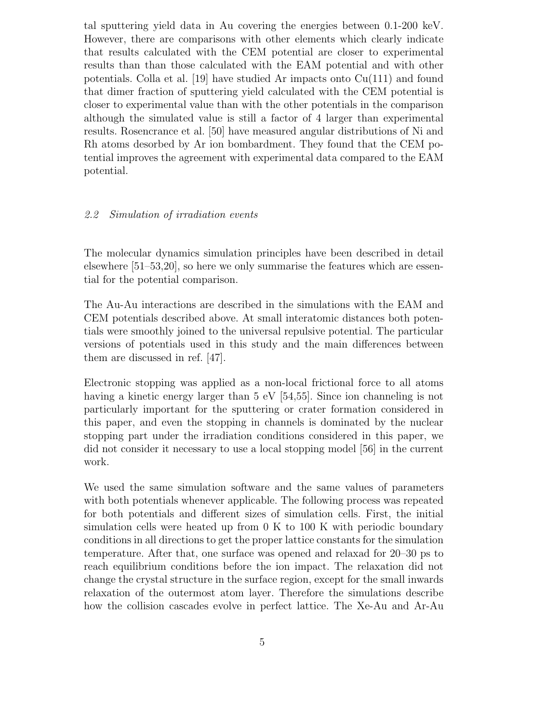tal sputtering yield data in Au covering the energies between 0.1-200 keV. However, there are comparisons with other elements which clearly indicate that results calculated with the CEM potential are closer to experimental results than than those calculated with the EAM potential and with other potentials. Colla et al. [19] have studied Ar impacts onto Cu(111) and found that dimer fraction of sputtering yield calculated with the CEM potential is closer to experimental value than with the other potentials in the comparison although the simulated value is still a factor of 4 larger than experimental results. Rosencrance et al. [50] have measured angular distributions of Ni and Rh atoms desorbed by Ar ion bombardment. They found that the CEM potential improves the agreement with experimental data compared to the EAM potential.

### 2.2 Simulation of irradiation events

The molecular dynamics simulation principles have been described in detail elsewhere [51–53,20], so here we only summarise the features which are essential for the potential comparison.

The Au-Au interactions are described in the simulations with the EAM and CEM potentials described above. At small interatomic distances both potentials were smoothly joined to the universal repulsive potential. The particular versions of potentials used in this study and the main differences between them are discussed in ref. [47].

Electronic stopping was applied as a non-local frictional force to all atoms having a kinetic energy larger than 5 eV [54,55]. Since ion channeling is not particularly important for the sputtering or crater formation considered in this paper, and even the stopping in channels is dominated by the nuclear stopping part under the irradiation conditions considered in this paper, we did not consider it necessary to use a local stopping model [56] in the current work.

We used the same simulation software and the same values of parameters with both potentials whenever applicable. The following process was repeated for both potentials and different sizes of simulation cells. First, the initial simulation cells were heated up from 0 K to 100 K with periodic boundary conditions in all directions to get the proper lattice constants for the simulation temperature. After that, one surface was opened and relaxad for 20–30 ps to reach equilibrium conditions before the ion impact. The relaxation did not change the crystal structure in the surface region, except for the small inwards relaxation of the outermost atom layer. Therefore the simulations describe how the collision cascades evolve in perfect lattice. The Xe-Au and Ar-Au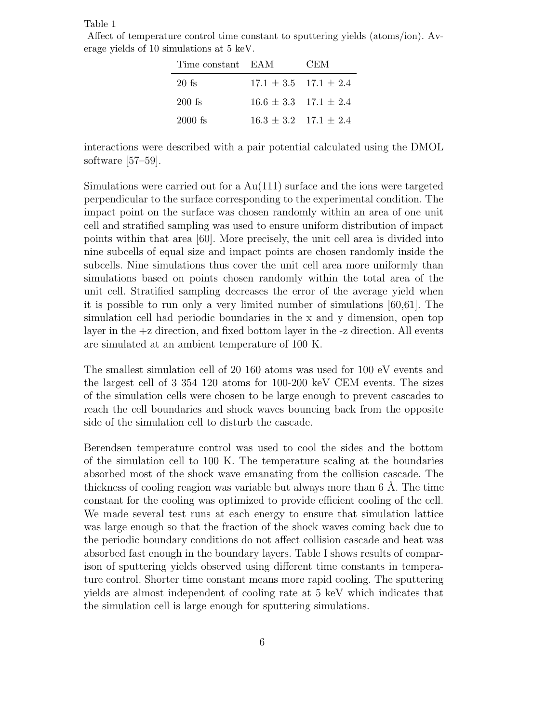Table 1

Affect of temperature control time constant to sputtering yields (atoms/ion). Average yields of 10 simulations at 5 keV.

| Time constant EAM | CEM                           |
|-------------------|-------------------------------|
| $20$ fs           | $17.1 \pm 3.5$ $17.1 \pm 2.4$ |
| $200$ fs          | $16.6 \pm 3.3$ $17.1 \pm 2.4$ |
| $2000$ fs         | $16.3 \pm 3.2$ $17.1 \pm 2.4$ |

interactions were described with a pair potential calculated using the DMOL software [57–59].

Simulations were carried out for a Au(111) surface and the ions were targeted perpendicular to the surface corresponding to the experimental condition. The impact point on the surface was chosen randomly within an area of one unit cell and stratified sampling was used to ensure uniform distribution of impact points within that area [60]. More precisely, the unit cell area is divided into nine subcells of equal size and impact points are chosen randomly inside the subcells. Nine simulations thus cover the unit cell area more uniformly than simulations based on points chosen randomly within the total area of the unit cell. Stratified sampling decreases the error of the average yield when it is possible to run only a very limited number of simulations [60,61]. The simulation cell had periodic boundaries in the x and y dimension, open top layer in the +z direction, and fixed bottom layer in the -z direction. All events are simulated at an ambient temperature of 100 K.

The smallest simulation cell of 20 160 atoms was used for 100 eV events and the largest cell of 3 354 120 atoms for 100-200 keV CEM events. The sizes of the simulation cells were chosen to be large enough to prevent cascades to reach the cell boundaries and shock waves bouncing back from the opposite side of the simulation cell to disturb the cascade.

Berendsen temperature control was used to cool the sides and the bottom of the simulation cell to 100 K. The temperature scaling at the boundaries absorbed most of the shock wave emanating from the collision cascade. The thickness of cooling reagion was variable but always more than  $6 \text{ Å}$ . The time constant for the cooling was optimized to provide efficient cooling of the cell. We made several test runs at each energy to ensure that simulation lattice was large enough so that the fraction of the shock waves coming back due to the periodic boundary conditions do not affect collision cascade and heat was absorbed fast enough in the boundary layers. Table I shows results of comparison of sputtering yields observed using different time constants in temperature control. Shorter time constant means more rapid cooling. The sputtering yields are almost independent of cooling rate at 5 keV which indicates that the simulation cell is large enough for sputtering simulations.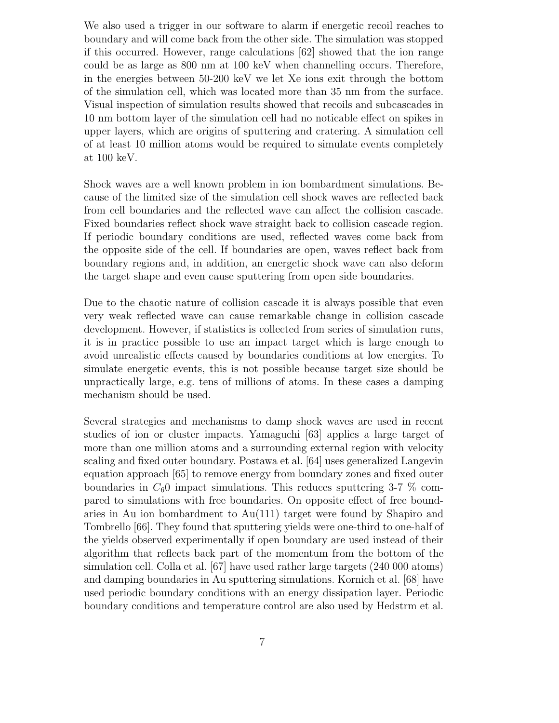We also used a trigger in our software to alarm if energetic recoil reaches to boundary and will come back from the other side. The simulation was stopped if this occurred. However, range calculations [62] showed that the ion range could be as large as 800 nm at 100 keV when channelling occurs. Therefore, in the energies between 50-200 keV we let Xe ions exit through the bottom of the simulation cell, which was located more than 35 nm from the surface. Visual inspection of simulation results showed that recoils and subcascades in 10 nm bottom layer of the simulation cell had no noticable effect on spikes in upper layers, which are origins of sputtering and cratering. A simulation cell of at least 10 million atoms would be required to simulate events completely at 100 keV.

Shock waves are a well known problem in ion bombardment simulations. Because of the limited size of the simulation cell shock waves are reflected back from cell boundaries and the reflected wave can affect the collision cascade. Fixed boundaries reflect shock wave straight back to collision cascade region. If periodic boundary conditions are used, reflected waves come back from the opposite side of the cell. If boundaries are open, waves reflect back from boundary regions and, in addition, an energetic shock wave can also deform the target shape and even cause sputtering from open side boundaries.

Due to the chaotic nature of collision cascade it is always possible that even very weak reflected wave can cause remarkable change in collision cascade development. However, if statistics is collected from series of simulation runs, it is in practice possible to use an impact target which is large enough to avoid unrealistic effects caused by boundaries conditions at low energies. To simulate energetic events, this is not possible because target size should be unpractically large, e.g. tens of millions of atoms. In these cases a damping mechanism should be used.

Several strategies and mechanisms to damp shock waves are used in recent studies of ion or cluster impacts. Yamaguchi [63] applies a large target of more than one million atoms and a surrounding external region with velocity scaling and fixed outer boundary. Postawa et al. [64] uses generalized Langevin equation approach [65] to remove energy from boundary zones and fixed outer boundaries in  $C_60$  impact simulations. This reduces sputtering 3-7 % compared to simulations with free boundaries. On opposite effect of free boundaries in Au ion bombardment to  $Au(111)$  target were found by Shapiro and Tombrello [66]. They found that sputtering yields were one-third to one-half of the yields observed experimentally if open boundary are used instead of their algorithm that reflects back part of the momentum from the bottom of the simulation cell. Colla et al. [67] have used rather large targets (240 000 atoms) and damping boundaries in Au sputtering simulations. Kornich et al. [68] have used periodic boundary conditions with an energy dissipation layer. Periodic boundary conditions and temperature control are also used by Hedstrm et al.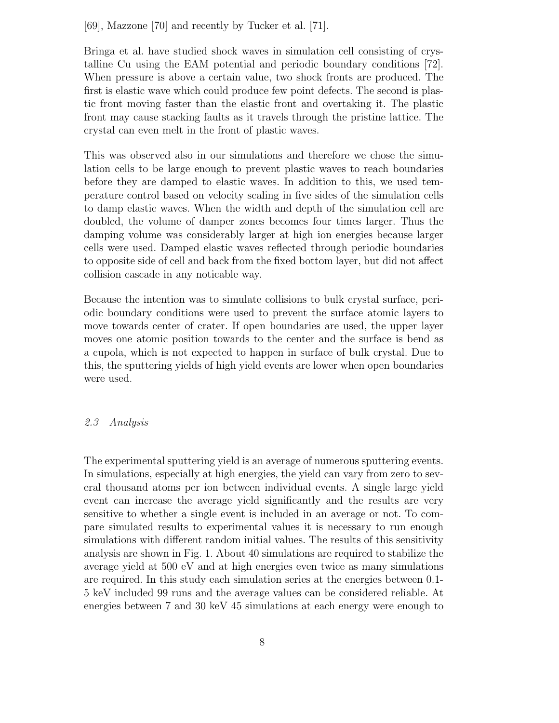[69], Mazzone [70] and recently by Tucker et al. [71].

Bringa et al. have studied shock waves in simulation cell consisting of crystalline Cu using the EAM potential and periodic boundary conditions [72]. When pressure is above a certain value, two shock fronts are produced. The first is elastic wave which could produce few point defects. The second is plastic front moving faster than the elastic front and overtaking it. The plastic front may cause stacking faults as it travels through the pristine lattice. The crystal can even melt in the front of plastic waves.

This was observed also in our simulations and therefore we chose the simulation cells to be large enough to prevent plastic waves to reach boundaries before they are damped to elastic waves. In addition to this, we used temperature control based on velocity scaling in five sides of the simulation cells to damp elastic waves. When the width and depth of the simulation cell are doubled, the volume of damper zones becomes four times larger. Thus the damping volume was considerably larger at high ion energies because larger cells were used. Damped elastic waves reflected through periodic boundaries to opposite side of cell and back from the fixed bottom layer, but did not affect collision cascade in any noticable way.

Because the intention was to simulate collisions to bulk crystal surface, periodic boundary conditions were used to prevent the surface atomic layers to move towards center of crater. If open boundaries are used, the upper layer moves one atomic position towards to the center and the surface is bend as a cupola, which is not expected to happen in surface of bulk crystal. Due to this, the sputtering yields of high yield events are lower when open boundaries were used.

## 2.3 Analysis

The experimental sputtering yield is an average of numerous sputtering events. In simulations, especially at high energies, the yield can vary from zero to several thousand atoms per ion between individual events. A single large yield event can increase the average yield significantly and the results are very sensitive to whether a single event is included in an average or not. To compare simulated results to experimental values it is necessary to run enough simulations with different random initial values. The results of this sensitivity analysis are shown in Fig. 1. About 40 simulations are required to stabilize the average yield at 500 eV and at high energies even twice as many simulations are required. In this study each simulation series at the energies between 0.1- 5 keV included 99 runs and the average values can be considered reliable. At energies between 7 and 30 keV 45 simulations at each energy were enough to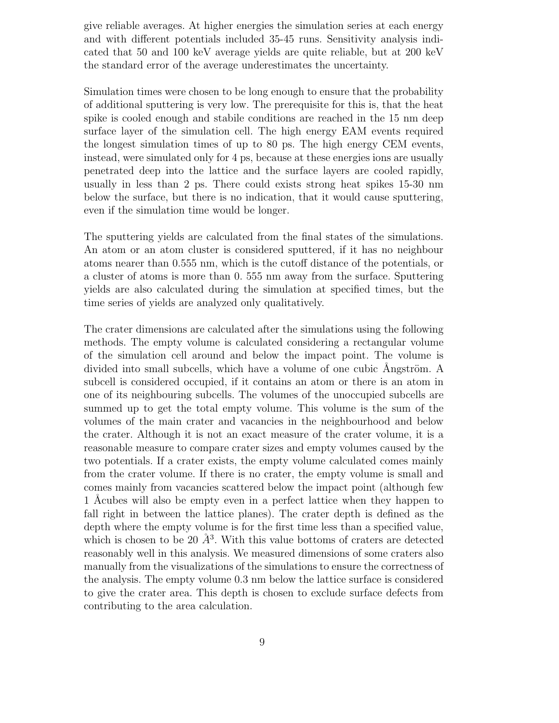give reliable averages. At higher energies the simulation series at each energy and with different potentials included 35-45 runs. Sensitivity analysis indicated that 50 and 100 keV average yields are quite reliable, but at 200 keV the standard error of the average underestimates the uncertainty.

Simulation times were chosen to be long enough to ensure that the probability of additional sputtering is very low. The prerequisite for this is, that the heat spike is cooled enough and stabile conditions are reached in the 15 nm deep surface layer of the simulation cell. The high energy EAM events required the longest simulation times of up to 80 ps. The high energy CEM events, instead, were simulated only for 4 ps, because at these energies ions are usually penetrated deep into the lattice and the surface layers are cooled rapidly, usually in less than 2 ps. There could exists strong heat spikes 15-30 nm below the surface, but there is no indication, that it would cause sputtering, even if the simulation time would be longer.

The sputtering yields are calculated from the final states of the simulations. An atom or an atom cluster is considered sputtered, if it has no neighbour atoms nearer than 0.555 nm, which is the cutoff distance of the potentials, or a cluster of atoms is more than 0. 555 nm away from the surface. Sputtering yields are also calculated during the simulation at specified times, but the time series of yields are analyzed only qualitatively.

The crater dimensions are calculated after the simulations using the following methods. The empty volume is calculated considering a rectangular volume of the simulation cell around and below the impact point. The volume is divided into small subcells, which have a volume of one cubic Angström. A subcell is considered occupied, if it contains an atom or there is an atom in one of its neighbouring subcells. The volumes of the unoccupied subcells are summed up to get the total empty volume. This volume is the sum of the volumes of the main crater and vacancies in the neighbourhood and below the crater. Although it is not an exact measure of the crater volume, it is a reasonable measure to compare crater sizes and empty volumes caused by the two potentials. If a crater exists, the empty volume calculated comes mainly from the crater volume. If there is no crater, the empty volume is small and comes mainly from vacancies scattered below the impact point (although few 1 Åcubes will also be empty even in a perfect lattice when they happen to fall right in between the lattice planes). The crater depth is defined as the depth where the empty volume is for the first time less than a specified value, which is chosen to be 20  $\AA^3$ . With this value bottoms of craters are detected reasonably well in this analysis. We measured dimensions of some craters also manually from the visualizations of the simulations to ensure the correctness of the analysis. The empty volume 0.3 nm below the lattice surface is considered to give the crater area. This depth is chosen to exclude surface defects from contributing to the area calculation.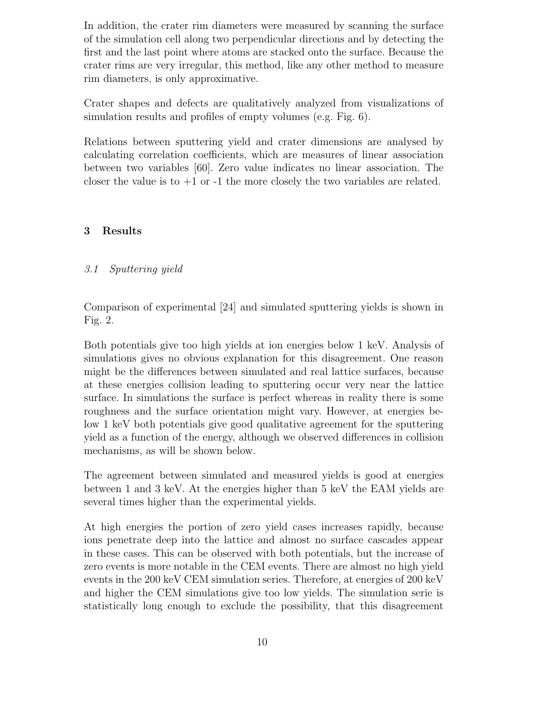In addition, the crater rim diameters were measured by scanning the surface of the simulation cell along two perpendicular directions and by detecting the first and the last point where atoms are stacked onto the surface. Because the crater rims are very irregular, this method, like any other method to measure rim diameters, is only approximative.

Crater shapes and defects are qualitatively analyzed from visualizations of simulation results and profiles of empty volumes (e.g. Fig. 6).

Relations between sputtering yield and crater dimensions are analysed by calculating correlation coefficients, which are measures of linear association between two variables [60]. Zero value indicates no linear association. The closer the value is to  $+1$  or  $-1$  the more closely the two variables are related.

# 3 Results

# 3.1 Sputtering yield

Comparison of experimental [24] and simulated sputtering yields is shown in Fig. 2.

Both potentials give too high yields at ion energies below 1 keV. Analysis of simulations gives no obvious explanation for this disagreement. One reason might be the differences between simulated and real lattice surfaces, because at these energies collision leading to sputtering occur very near the lattice surface. In simulations the surface is perfect whereas in reality there is some roughness and the surface orientation might vary. However, at energies below 1 keV both potentials give good qualitative agreement for the sputtering yield as a function of the energy, although we observed differences in collision mechanisms, as will be shown below.

The agreement between simulated and measured yields is good at energies between 1 and 3 keV. At the energies higher than 5 keV the EAM yields are several times higher than the experimental yields.

At high energies the portion of zero yield cases increases rapidly, because ions penetrate deep into the lattice and almost no surface cascades appear in these cases. This can be observed with both potentials, but the increase of zero events is more notable in the CEM events. There are almost no high yield events in the 200 keV CEM simulation series. Therefore, at energies of 200 keV and higher the CEM simulations give too low yields. The simulation serie is statistically long enough to exclude the possibility, that this disagreement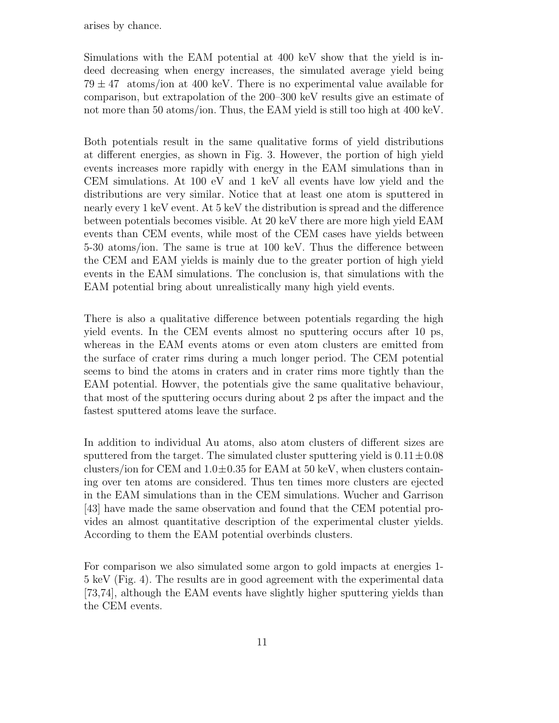arises by chance.

Simulations with the EAM potential at 400 keV show that the yield is indeed decreasing when energy increases, the simulated average yield being  $79 \pm 47$  atoms/ion at 400 keV. There is no experimental value available for comparison, but extrapolation of the 200–300 keV results give an estimate of not more than 50 atoms/ion. Thus, the EAM yield is still too high at 400 keV.

Both potentials result in the same qualitative forms of yield distributions at different energies, as shown in Fig. 3. However, the portion of high yield events increases more rapidly with energy in the EAM simulations than in CEM simulations. At 100 eV and 1 keV all events have low yield and the distributions are very similar. Notice that at least one atom is sputtered in nearly every 1 keV event. At 5 keV the distribution is spread and the difference between potentials becomes visible. At 20 keV there are more high yield EAM events than CEM events, while most of the CEM cases have yields between 5-30 atoms/ion. The same is true at 100 keV. Thus the difference between the CEM and EAM yields is mainly due to the greater portion of high yield events in the EAM simulations. The conclusion is, that simulations with the EAM potential bring about unrealistically many high yield events.

There is also a qualitative difference between potentials regarding the high yield events. In the CEM events almost no sputtering occurs after 10 ps, whereas in the EAM events atoms or even atom clusters are emitted from the surface of crater rims during a much longer period. The CEM potential seems to bind the atoms in craters and in crater rims more tightly than the EAM potential. Howver, the potentials give the same qualitative behaviour, that most of the sputtering occurs during about 2 ps after the impact and the fastest sputtered atoms leave the surface.

In addition to individual Au atoms, also atom clusters of different sizes are sputtered from the target. The simulated cluster sputtering yield is  $0.11 \pm 0.08$ clusters/ion for CEM and  $1.0\pm0.35$  for EAM at 50 keV, when clusters containing over ten atoms are considered. Thus ten times more clusters are ejected in the EAM simulations than in the CEM simulations. Wucher and Garrison [43] have made the same observation and found that the CEM potential provides an almost quantitative description of the experimental cluster yields. According to them the EAM potential overbinds clusters.

For comparison we also simulated some argon to gold impacts at energies 1- 5 keV (Fig. 4). The results are in good agreement with the experimental data [73,74], although the EAM events have slightly higher sputtering yields than the CEM events.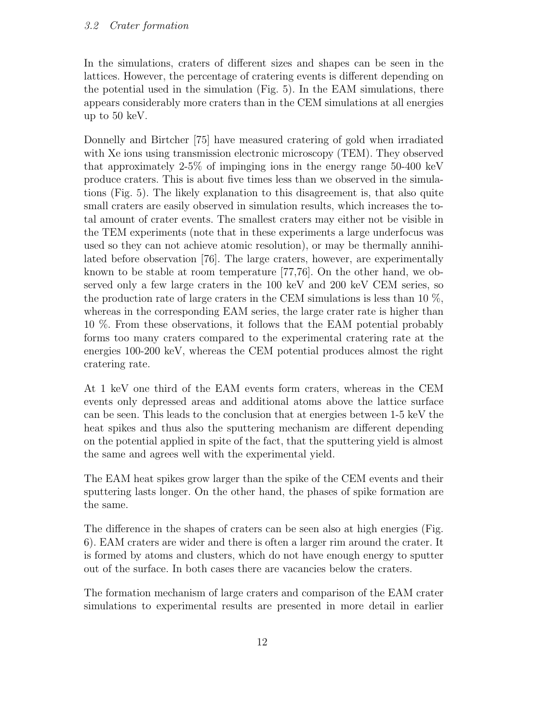In the simulations, craters of different sizes and shapes can be seen in the lattices. However, the percentage of cratering events is different depending on the potential used in the simulation (Fig. 5). In the EAM simulations, there appears considerably more craters than in the CEM simulations at all energies up to 50 keV.

Donnelly and Birtcher [75] have measured cratering of gold when irradiated with Xe ions using transmission electronic microscopy (TEM). They observed that approximately 2-5% of impinging ions in the energy range 50-400 keV produce craters. This is about five times less than we observed in the simulations (Fig. 5). The likely explanation to this disagreement is, that also quite small craters are easily observed in simulation results, which increases the total amount of crater events. The smallest craters may either not be visible in the TEM experiments (note that in these experiments a large underfocus was used so they can not achieve atomic resolution), or may be thermally annihilated before observation [76]. The large craters, however, are experimentally known to be stable at room temperature [77,76]. On the other hand, we observed only a few large craters in the 100 keV and 200 keV CEM series, so the production rate of large craters in the CEM simulations is less than 10 %, whereas in the corresponding EAM series, the large crater rate is higher than 10 %. From these observations, it follows that the EAM potential probably forms too many craters compared to the experimental cratering rate at the energies 100-200 keV, whereas the CEM potential produces almost the right cratering rate.

At 1 keV one third of the EAM events form craters, whereas in the CEM events only depressed areas and additional atoms above the lattice surface can be seen. This leads to the conclusion that at energies between 1-5 keV the heat spikes and thus also the sputtering mechanism are different depending on the potential applied in spite of the fact, that the sputtering yield is almost the same and agrees well with the experimental yield.

The EAM heat spikes grow larger than the spike of the CEM events and their sputtering lasts longer. On the other hand, the phases of spike formation are the same.

The difference in the shapes of craters can be seen also at high energies (Fig. 6). EAM craters are wider and there is often a larger rim around the crater. It is formed by atoms and clusters, which do not have enough energy to sputter out of the surface. In both cases there are vacancies below the craters.

The formation mechanism of large craters and comparison of the EAM crater simulations to experimental results are presented in more detail in earlier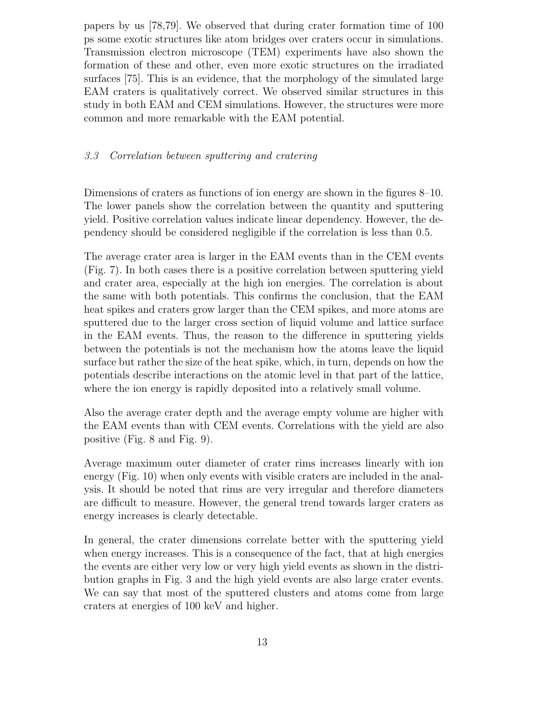papers by us [78,79]. We observed that during crater formation time of 100 ps some exotic structures like atom bridges over craters occur in simulations. Transmission electron microscope (TEM) experiments have also shown the formation of these and other, even more exotic structures on the irradiated surfaces [75]. This is an evidence, that the morphology of the simulated large EAM craters is qualitatively correct. We observed similar structures in this study in both EAM and CEM simulations. However, the structures were more common and more remarkable with the EAM potential.

## 3.3 Correlation between sputtering and cratering

Dimensions of craters as functions of ion energy are shown in the figures 8–10. The lower panels show the correlation between the quantity and sputtering yield. Positive correlation values indicate linear dependency. However, the dependency should be considered negligible if the correlation is less than 0.5.

The average crater area is larger in the EAM events than in the CEM events (Fig. 7). In both cases there is a positive correlation between sputtering yield and crater area, especially at the high ion energies. The correlation is about the same with both potentials. This confirms the conclusion, that the EAM heat spikes and craters grow larger than the CEM spikes, and more atoms are sputtered due to the larger cross section of liquid volume and lattice surface in the EAM events. Thus, the reason to the difference in sputtering yields between the potentials is not the mechanism how the atoms leave the liquid surface but rather the size of the heat spike, which, in turn, depends on how the potentials describe interactions on the atomic level in that part of the lattice, where the ion energy is rapidly deposited into a relatively small volume.

Also the average crater depth and the average empty volume are higher with the EAM events than with CEM events. Correlations with the yield are also positive (Fig. 8 and Fig. 9).

Average maximum outer diameter of crater rims increases linearly with ion energy (Fig. 10) when only events with visible craters are included in the analysis. It should be noted that rims are very irregular and therefore diameters are difficult to measure. However, the general trend towards larger craters as energy increases is clearly detectable.

In general, the crater dimensions correlate better with the sputtering yield when energy increases. This is a consequence of the fact, that at high energies the events are either very low or very high yield events as shown in the distribution graphs in Fig. 3 and the high yield events are also large crater events. We can say that most of the sputtered clusters and atoms come from large craters at energies of 100 keV and higher.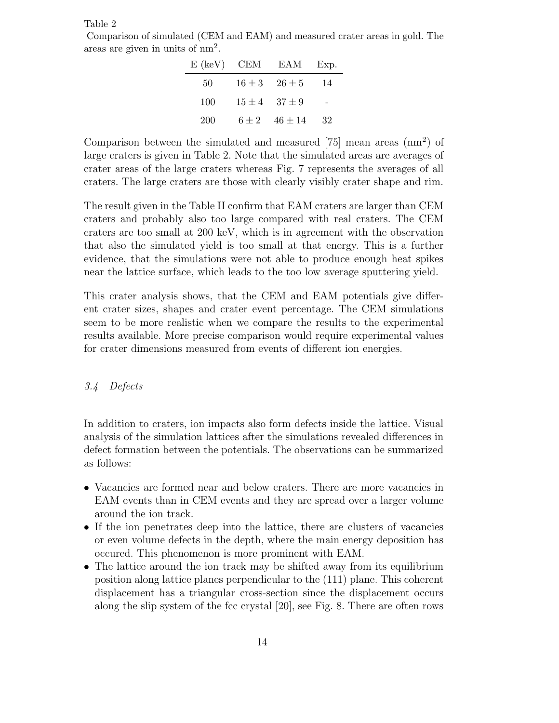Table 2

Comparison of simulated (CEM and EAM) and measured crater areas in gold. The areas are given in units of  $nm^2$ .

|     | $E$ (keV) CEM EAM Exp.    |      |
|-----|---------------------------|------|
| 50  | $16 \pm 3$ $26 \pm 5$     | - 14 |
| 100 | $15 \pm 4$ $37 \pm 9$     |      |
| 200 | $6 \pm 2 \quad 46 \pm 14$ | 32   |

Comparison between the simulated and measured  $[75]$  mean areas  $(nm<sup>2</sup>)$  of large craters is given in Table 2. Note that the simulated areas are averages of crater areas of the large craters whereas Fig. 7 represents the averages of all craters. The large craters are those with clearly visibly crater shape and rim.

The result given in the Table II confirm that EAM craters are larger than CEM craters and probably also too large compared with real craters. The CEM craters are too small at 200 keV, which is in agreement with the observation that also the simulated yield is too small at that energy. This is a further evidence, that the simulations were not able to produce enough heat spikes near the lattice surface, which leads to the too low average sputtering yield.

This crater analysis shows, that the CEM and EAM potentials give different crater sizes, shapes and crater event percentage. The CEM simulations seem to be more realistic when we compare the results to the experimental results available. More precise comparison would require experimental values for crater dimensions measured from events of different ion energies.

# 3.4 Defects

In addition to craters, ion impacts also form defects inside the lattice. Visual analysis of the simulation lattices after the simulations revealed differences in defect formation between the potentials. The observations can be summarized as follows:

- Vacancies are formed near and below craters. There are more vacancies in EAM events than in CEM events and they are spread over a larger volume around the ion track.
- If the ion penetrates deep into the lattice, there are clusters of vacancies or even volume defects in the depth, where the main energy deposition has occured. This phenomenon is more prominent with EAM.
- The lattice around the ion track may be shifted away from its equilibrium position along lattice planes perpendicular to the (111) plane. This coherent displacement has a triangular cross-section since the displacement occurs along the slip system of the fcc crystal [20], see Fig. 8. There are often rows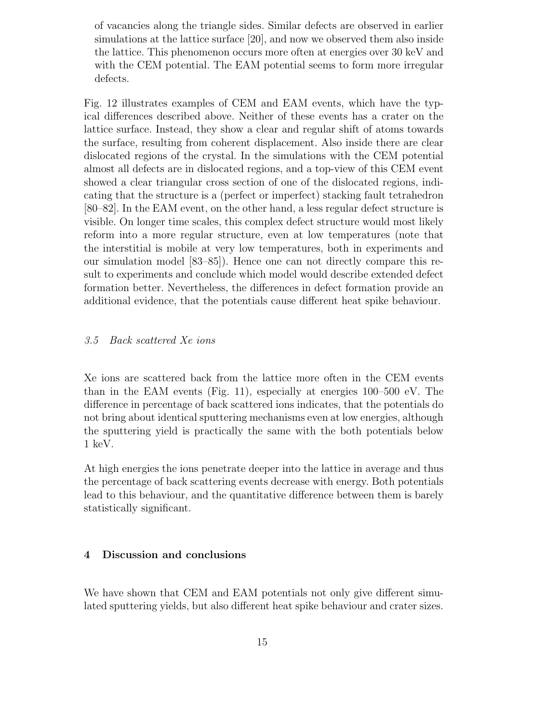of vacancies along the triangle sides. Similar defects are observed in earlier simulations at the lattice surface [20], and now we observed them also inside the lattice. This phenomenon occurs more often at energies over 30 keV and with the CEM potential. The EAM potential seems to form more irregular defects.

Fig. 12 illustrates examples of CEM and EAM events, which have the typical differences described above. Neither of these events has a crater on the lattice surface. Instead, they show a clear and regular shift of atoms towards the surface, resulting from coherent displacement. Also inside there are clear dislocated regions of the crystal. In the simulations with the CEM potential almost all defects are in dislocated regions, and a top-view of this CEM event showed a clear triangular cross section of one of the dislocated regions, indicating that the structure is a (perfect or imperfect) stacking fault tetrahedron [80–82]. In the EAM event, on the other hand, a less regular defect structure is visible. On longer time scales, this complex defect structure would most likely reform into a more regular structure, even at low temperatures (note that the interstitial is mobile at very low temperatures, both in experiments and our simulation model [83–85]). Hence one can not directly compare this result to experiments and conclude which model would describe extended defect formation better. Nevertheless, the differences in defect formation provide an additional evidence, that the potentials cause different heat spike behaviour.

#### 3.5 Back scattered Xe ions

Xe ions are scattered back from the lattice more often in the CEM events than in the EAM events (Fig. 11), especially at energies 100–500 eV. The difference in percentage of back scattered ions indicates, that the potentials do not bring about identical sputtering mechanisms even at low energies, although the sputtering yield is practically the same with the both potentials below 1 keV.

At high energies the ions penetrate deeper into the lattice in average and thus the percentage of back scattering events decrease with energy. Both potentials lead to this behaviour, and the quantitative difference between them is barely statistically significant.

# 4 Discussion and conclusions

We have shown that CEM and EAM potentials not only give different simulated sputtering yields, but also different heat spike behaviour and crater sizes.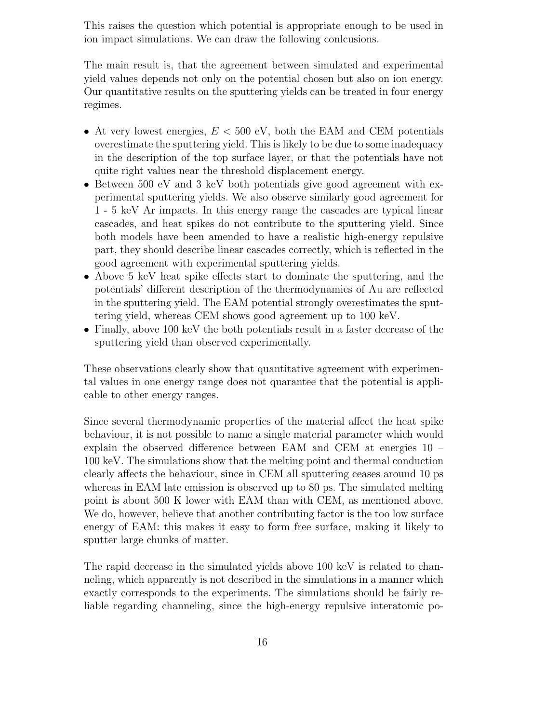This raises the question which potential is appropriate enough to be used in ion impact simulations. We can draw the following conlcusions.

The main result is, that the agreement between simulated and experimental yield values depends not only on the potential chosen but also on ion energy. Our quantitative results on the sputtering yields can be treated in four energy regimes.

- At very lowest energies,  $E < 500$  eV, both the EAM and CEM potentials overestimate the sputtering yield. This is likely to be due to some inadequacy in the description of the top surface layer, or that the potentials have not quite right values near the threshold displacement energy.
- Between 500 eV and 3 keV both potentials give good agreement with experimental sputtering yields. We also observe similarly good agreement for 1 - 5 keV Ar impacts. In this energy range the cascades are typical linear cascades, and heat spikes do not contribute to the sputtering yield. Since both models have been amended to have a realistic high-energy repulsive part, they should describe linear cascades correctly, which is reflected in the good agreement with experimental sputtering yields.
- Above 5 keV heat spike effects start to dominate the sputtering, and the potentials' different description of the thermodynamics of Au are reflected in the sputtering yield. The EAM potential strongly overestimates the sputtering yield, whereas CEM shows good agreement up to 100 keV.
- Finally, above 100 keV the both potentials result in a faster decrease of the sputtering yield than observed experimentally.

These observations clearly show that quantitative agreement with experimental values in one energy range does not quarantee that the potential is applicable to other energy ranges.

Since several thermodynamic properties of the material affect the heat spike behaviour, it is not possible to name a single material parameter which would explain the observed difference between EAM and CEM at energies 10 – 100 keV. The simulations show that the melting point and thermal conduction clearly affects the behaviour, since in CEM all sputtering ceases around 10 ps whereas in EAM late emission is observed up to 80 ps. The simulated melting point is about 500 K lower with EAM than with CEM, as mentioned above. We do, however, believe that another contributing factor is the too low surface energy of EAM: this makes it easy to form free surface, making it likely to sputter large chunks of matter.

The rapid decrease in the simulated yields above 100 keV is related to channeling, which apparently is not described in the simulations in a manner which exactly corresponds to the experiments. The simulations should be fairly reliable regarding channeling, since the high-energy repulsive interatomic po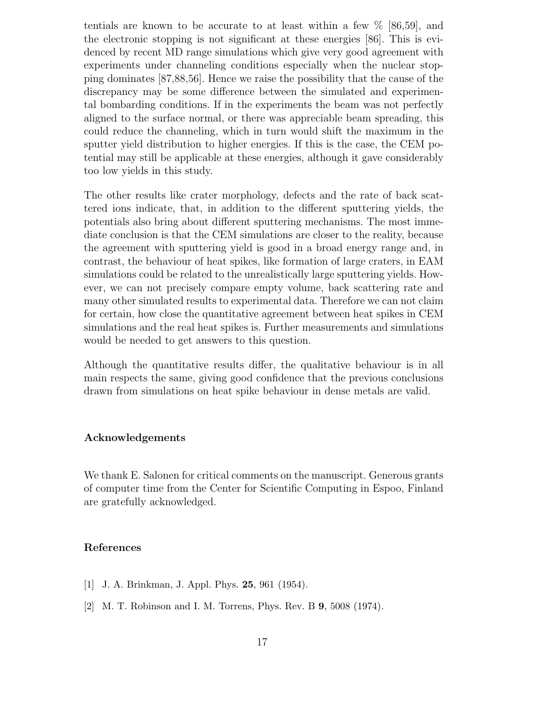tentials are known to be accurate to at least within a few % [86,59], and the electronic stopping is not significant at these energies [86]. This is evidenced by recent MD range simulations which give very good agreement with experiments under channeling conditions especially when the nuclear stopping dominates [87,88,56]. Hence we raise the possibility that the cause of the discrepancy may be some difference between the simulated and experimental bombarding conditions. If in the experiments the beam was not perfectly aligned to the surface normal, or there was appreciable beam spreading, this could reduce the channeling, which in turn would shift the maximum in the sputter yield distribution to higher energies. If this is the case, the CEM potential may still be applicable at these energies, although it gave considerably too low yields in this study.

The other results like crater morphology, defects and the rate of back scattered ions indicate, that, in addition to the different sputtering yields, the potentials also bring about different sputtering mechanisms. The most immediate conclusion is that the CEM simulations are closer to the reality, because the agreement with sputtering yield is good in a broad energy range and, in contrast, the behaviour of heat spikes, like formation of large craters, in EAM simulations could be related to the unrealistically large sputtering yields. However, we can not precisely compare empty volume, back scattering rate and many other simulated results to experimental data. Therefore we can not claim for certain, how close the quantitative agreement between heat spikes in CEM simulations and the real heat spikes is. Further measurements and simulations would be needed to get answers to this question.

Although the quantitative results differ, the qualitative behaviour is in all main respects the same, giving good confidence that the previous conclusions drawn from simulations on heat spike behaviour in dense metals are valid.

# Acknowledgements

We thank E. Salonen for critical comments on the manuscript. Generous grants of computer time from the Center for Scientific Computing in Espoo, Finland are gratefully acknowledged.

#### References

- [1] J. A. Brinkman, J. Appl. Phys. 25, 961 (1954).
- [2] M. T. Robinson and I. M. Torrens, Phys. Rev. B 9, 5008 (1974).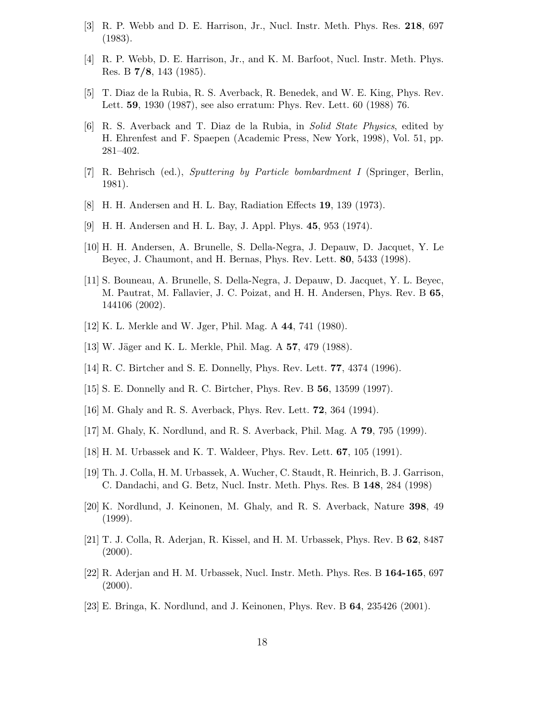- [3] R. P. Webb and D. E. Harrison, Jr., Nucl. Instr. Meth. Phys. Res. 218, 697 (1983).
- [4] R. P. Webb, D. E. Harrison, Jr., and K. M. Barfoot, Nucl. Instr. Meth. Phys. Res. B 7/8, 143 (1985).
- [5] T. Diaz de la Rubia, R. S. Averback, R. Benedek, and W. E. King, Phys. Rev. Lett. 59, 1930 (1987), see also erratum: Phys. Rev. Lett. 60 (1988) 76.
- [6] R. S. Averback and T. Diaz de la Rubia, in Solid State Physics, edited by H. Ehrenfest and F. Spaepen (Academic Press, New York, 1998), Vol. 51, pp. 281–402.
- [7] R. Behrisch (ed.), Sputtering by Particle bombardment I (Springer, Berlin, 1981).
- [8] H. H. Andersen and H. L. Bay, Radiation Effects 19, 139 (1973).
- [9] H. H. Andersen and H. L. Bay, J. Appl. Phys. 45, 953 (1974).
- [10] H. H. Andersen, A. Brunelle, S. Della-Negra, J. Depauw, D. Jacquet, Y. Le Beyec, J. Chaumont, and H. Bernas, Phys. Rev. Lett. 80, 5433 (1998).
- [11] S. Bouneau, A. Brunelle, S. Della-Negra, J. Depauw, D. Jacquet, Y. L. Beyec, M. Pautrat, M. Fallavier, J. C. Poizat, and H. H. Andersen, Phys. Rev. B 65, 144106 (2002).
- [12] K. L. Merkle and W. Jger, Phil. Mag. A 44, 741 (1980).
- [13] W. Jäger and K. L. Merkle, Phil. Mag. A 57, 479 (1988).
- [14] R. C. Birtcher and S. E. Donnelly, Phys. Rev. Lett. 77, 4374 (1996).
- [15] S. E. Donnelly and R. C. Birtcher, Phys. Rev. B 56, 13599 (1997).
- [16] M. Ghaly and R. S. Averback, Phys. Rev. Lett. 72, 364 (1994).
- [17] M. Ghaly, K. Nordlund, and R. S. Averback, Phil. Mag. A 79, 795 (1999).
- [18] H. M. Urbassek and K. T. Waldeer, Phys. Rev. Lett. 67, 105 (1991).
- [19] Th. J. Colla, H. M. Urbassek, A. Wucher, C. Staudt, R. Heinrich, B. J. Garrison, C. Dandachi, and G. Betz, Nucl. Instr. Meth. Phys. Res. B 148, 284 (1998)
- [20] K. Nordlund, J. Keinonen, M. Ghaly, and R. S. Averback, Nature 398, 49 (1999).
- [21] T. J. Colla, R. Aderjan, R. Kissel, and H. M. Urbassek, Phys. Rev. B 62, 8487  $(2000).$
- [22] R. Aderjan and H. M. Urbassek, Nucl. Instr. Meth. Phys. Res. B 164-165, 697  $(2000).$
- [23] E. Bringa, K. Nordlund, and J. Keinonen, Phys. Rev. B 64, 235426 (2001).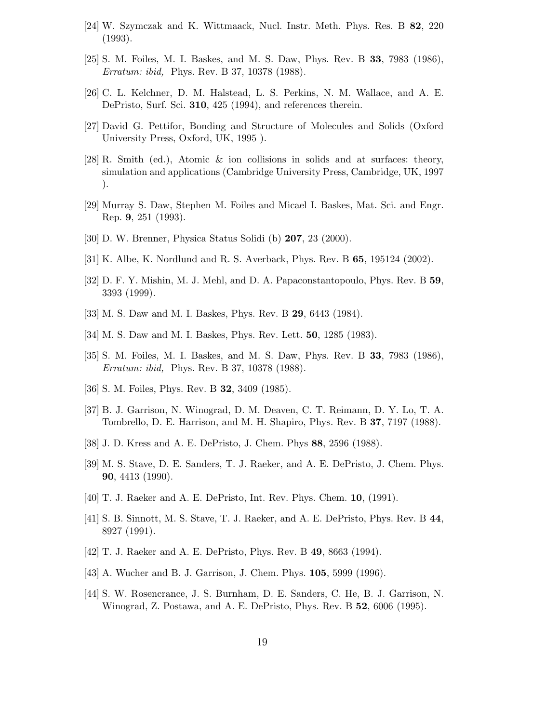- [24] W. Szymczak and K. Wittmaack, Nucl. Instr. Meth. Phys. Res. B 82, 220 (1993).
- [25] S. M. Foiles, M. I. Baskes, and M. S. Daw, Phys. Rev. B 33, 7983 (1986), Erratum: ibid, Phys. Rev. B 37, 10378 (1988).
- [26] C. L. Kelchner, D. M. Halstead, L. S. Perkins, N. M. Wallace, and A. E. DePristo, Surf. Sci. 310, 425 (1994), and references therein.
- [27] David G. Pettifor, Bonding and Structure of Molecules and Solids (Oxford University Press, Oxford, UK, 1995 ).
- [28] R. Smith (ed.), Atomic & ion collisions in solids and at surfaces: theory, simulation and applications (Cambridge University Press, Cambridge, UK, 1997 ).
- [29] Murray S. Daw, Stephen M. Foiles and Micael I. Baskes, Mat. Sci. and Engr. Rep. 9, 251 (1993).
- [30] D. W. Brenner, Physica Status Solidi (b) 207, 23 (2000).
- [31] K. Albe, K. Nordlund and R. S. Averback, Phys. Rev. B 65, 195124 (2002).
- [32] D. F. Y. Mishin, M. J. Mehl, and D. A. Papaconstantopoulo, Phys. Rev. B 59, 3393 (1999).
- [33] M. S. Daw and M. I. Baskes, Phys. Rev. B 29, 6443 (1984).
- [34] M. S. Daw and M. I. Baskes, Phys. Rev. Lett. 50, 1285 (1983).
- [35] S. M. Foiles, M. I. Baskes, and M. S. Daw, Phys. Rev. B 33, 7983 (1986), Erratum: ibid, Phys. Rev. B 37, 10378 (1988).
- [36] S. M. Foiles, Phys. Rev. B **32**, 3409 (1985).
- [37] B. J. Garrison, N. Winograd, D. M. Deaven, C. T. Reimann, D. Y. Lo, T. A. Tombrello, D. E. Harrison, and M. H. Shapiro, Phys. Rev. B 37, 7197 (1988).
- [38] J. D. Kress and A. E. DePristo, J. Chem. Phys 88, 2596 (1988).
- [39] M. S. Stave, D. E. Sanders, T. J. Raeker, and A. E. DePristo, J. Chem. Phys. 90, 4413 (1990).
- [40] T. J. Raeker and A. E. DePristo, Int. Rev. Phys. Chem. 10, (1991).
- [41] S. B. Sinnott, M. S. Stave, T. J. Raeker, and A. E. DePristo, Phys. Rev. B 44, 8927 (1991).
- [42] T. J. Raeker and A. E. DePristo, Phys. Rev. B 49, 8663 (1994).
- [43] A. Wucher and B. J. Garrison, J. Chem. Phys. 105, 5999 (1996).
- [44] S. W. Rosencrance, J. S. Burnham, D. E. Sanders, C. He, B. J. Garrison, N. Winograd, Z. Postawa, and A. E. DePristo, Phys. Rev. B 52, 6006 (1995).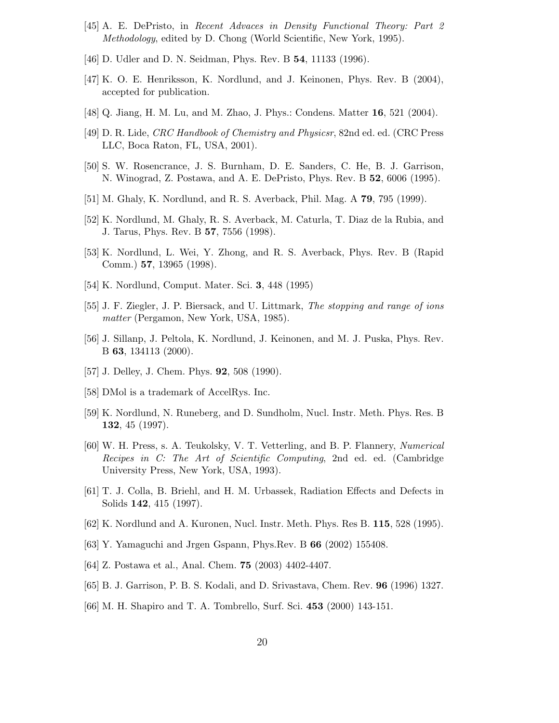- [45] A. E. DePristo, in Recent Advaces in Density Functional Theory: Part 2 Methodology, edited by D. Chong (World Scientific, New York, 1995).
- [46] D. Udler and D. N. Seidman, Phys. Rev. B 54, 11133 (1996).
- [47] K. O. E. Henriksson, K. Nordlund, and J. Keinonen, Phys. Rev. B (2004), accepted for publication.
- [48] Q. Jiang, H. M. Lu, and M. Zhao, J. Phys.: Condens. Matter 16, 521 (2004).
- [49] D. R. Lide, CRC Handbook of Chemistry and Physicsr, 82nd ed. ed. (CRC Press LLC, Boca Raton, FL, USA, 2001).
- [50] S. W. Rosencrance, J. S. Burnham, D. E. Sanders, C. He, B. J. Garrison, N. Winograd, Z. Postawa, and A. E. DePristo, Phys. Rev. B 52, 6006 (1995).
- [51] M. Ghaly, K. Nordlund, and R. S. Averback, Phil. Mag. A 79, 795 (1999).
- [52] K. Nordlund, M. Ghaly, R. S. Averback, M. Caturla, T. Diaz de la Rubia, and J. Tarus, Phys. Rev. B 57, 7556 (1998).
- [53] K. Nordlund, L. Wei, Y. Zhong, and R. S. Averback, Phys. Rev. B (Rapid Comm.) 57, 13965 (1998).
- [54] K. Nordlund, Comput. Mater. Sci. 3, 448 (1995)
- [55] J. F. Ziegler, J. P. Biersack, and U. Littmark, The stopping and range of ions matter (Pergamon, New York, USA, 1985).
- [56] J. Sillanp, J. Peltola, K. Nordlund, J. Keinonen, and M. J. Puska, Phys. Rev. B 63, 134113 (2000).
- [57] J. Delley, J. Chem. Phys. **92**, 508 (1990).
- [58] DMol is a trademark of AccelRys. Inc.
- [59] K. Nordlund, N. Runeberg, and D. Sundholm, Nucl. Instr. Meth. Phys. Res. B 132, 45 (1997).
- [60] W. H. Press, s. A. Teukolsky, V. T. Vetterling, and B. P. Flannery, Numerical Recipes in C: The Art of Scientific Computing, 2nd ed. ed. (Cambridge University Press, New York, USA, 1993).
- [61] T. J. Colla, B. Briehl, and H. M. Urbassek, Radiation Effects and Defects in Solids 142, 415 (1997).
- [62] K. Nordlund and A. Kuronen, Nucl. Instr. Meth. Phys. Res B. 115, 528 (1995).
- [63] Y. Yamaguchi and Jrgen Gspann, Phys.Rev. B 66 (2002) 155408.
- [64] Z. Postawa et al., Anal. Chem. 75 (2003) 4402-4407.
- [65] B. J. Garrison, P. B. S. Kodali, and D. Srivastava, Chem. Rev. 96 (1996) 1327.
- [66] M. H. Shapiro and T. A. Tombrello, Surf. Sci. 453 (2000) 143-151.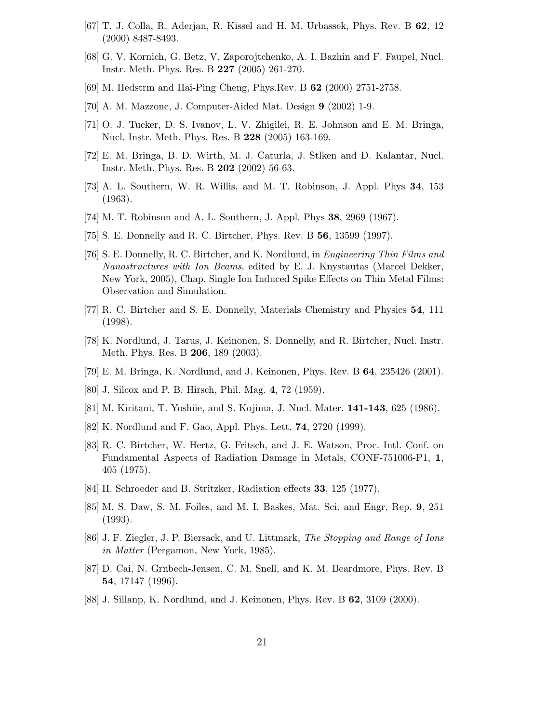- [67] T. J. Colla, R. Aderjan, R. Kissel and H. M. Urbassek, Phys. Rev. B 62, 12 (2000) 8487-8493.
- [68] G. V. Kornich, G. Betz, V. Zaporojtchenko, A. I. Bazhin and F. Faupel, Nucl. Instr. Meth. Phys. Res. B 227 (2005) 261-270.
- [69] M. Hedstrm and Hai-Ping Cheng, Phys.Rev. B 62 (2000) 2751-2758.
- [70] A. M. Mazzone, J. Computer-Aided Mat. Design 9 (2002) 1-9.
- [71] O. J. Tucker, D. S. Ivanov, L. V. Zhigilei, R. E. Johnson and E. M. Bringa, Nucl. Instr. Meth. Phys. Res. B 228 (2005) 163-169.
- [72] E. M. Bringa, B. D. Wirth, M. J. Caturla, J. Stlken and D. Kalantar, Nucl. Instr. Meth. Phys. Res. B 202 (2002) 56-63.
- [73] A. L. Southern, W. R. Willis, and M. T. Robinson, J. Appl. Phys 34, 153 (1963).
- [74] M. T. Robinson and A. L. Southern, J. Appl. Phys 38, 2969 (1967).
- [75] S. E. Donnelly and R. C. Birtcher, Phys. Rev. B 56, 13599 (1997).
- [76] S. E. Donnelly, R. C. Birtcher, and K. Nordlund, in Engineering Thin Films and Nanostructures with Ion Beams, edited by E. J. Knystautas (Marcel Dekker, New York, 2005), Chap. Single Ion Induced Spike Effects on Thin Metal Films: Observation and Simulation.
- [77] R. C. Birtcher and S. E. Donnelly, Materials Chemistry and Physics 54, 111 (1998).
- [78] K. Nordlund, J. Tarus, J. Keinonen, S. Donnelly, and R. Birtcher, Nucl. Instr. Meth. Phys. Res. B 206, 189 (2003).
- [79] E. M. Bringa, K. Nordlund, and J. Keinonen, Phys. Rev. B 64, 235426 (2001).
- [80] J. Silcox and P. B. Hirsch, Phil. Mag. 4, 72 (1959).
- [81] M. Kiritani, T. Yoshiie, and S. Kojima, J. Nucl. Mater. 141-143, 625 (1986).
- [82] K. Nordlund and F. Gao, Appl. Phys. Lett. 74, 2720 (1999).
- [83] R. C. Birtcher, W. Hertz, G. Fritsch, and J. E. Watson, Proc. Intl. Conf. on Fundamental Aspects of Radiation Damage in Metals, CONF-751006-P1, 1, 405 (1975).
- [84] H. Schroeder and B. Stritzker, Radiation effects 33, 125 (1977).
- [85] M. S. Daw, S. M. Foiles, and M. I. Baskes, Mat. Sci. and Engr. Rep. 9, 251 (1993).
- [86] J. F. Ziegler, J. P. Biersack, and U. Littmark, The Stopping and Range of Ions in Matter (Pergamon, New York, 1985).
- [87] D. Cai, N. Grnbech-Jensen, C. M. Snell, and K. M. Beardmore, Phys. Rev. B 54, 17147 (1996).
- [88] J. Sillanp, K. Nordlund, and J. Keinonen, Phys. Rev. B 62, 3109 (2000).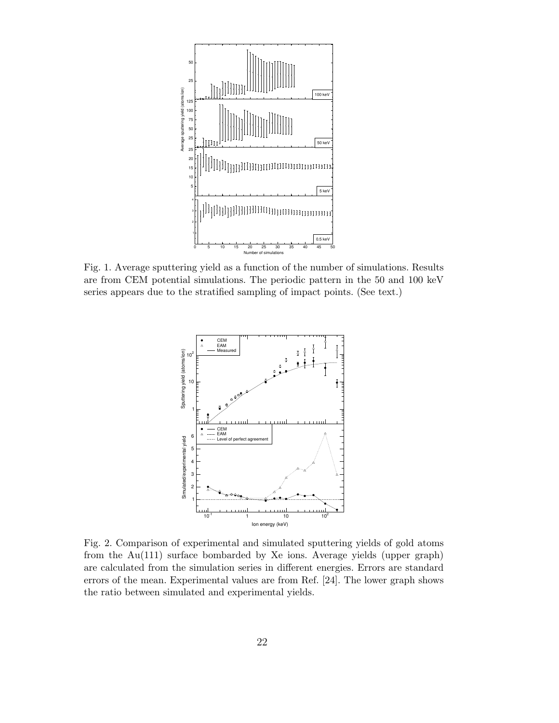

Fig. 1. Average sputtering yield as a function of the number of simulations. Results are from CEM potential simulations. The periodic pattern in the 50 and 100 keV series appears due to the stratified sampling of impact points. (See text.)



Fig. 2. Comparison of experimental and simulated sputtering yields of gold atoms from the  $Au(111)$  surface bombarded by Xe ions. Average yields (upper graph) are calculated from the simulation series in different energies. Errors are standard errors of the mean. Experimental values are from Ref. [24]. The lower graph shows the ratio between simulated and experimental yields.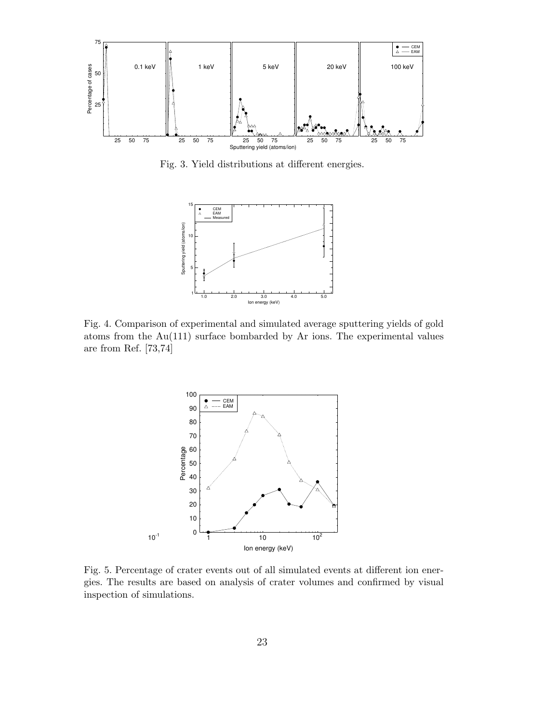

Fig. 3. Yield distributions at different energies.



Fig. 4. Comparison of experimental and simulated average sputtering yields of gold atoms from the Au(111) surface bombarded by Ar ions. The experimental values are from Ref. [73,74]



Fig. 5. Percentage of crater events out of all simulated events at different ion energies. The results are based on analysis of crater volumes and confirmed by visual inspection of simulations.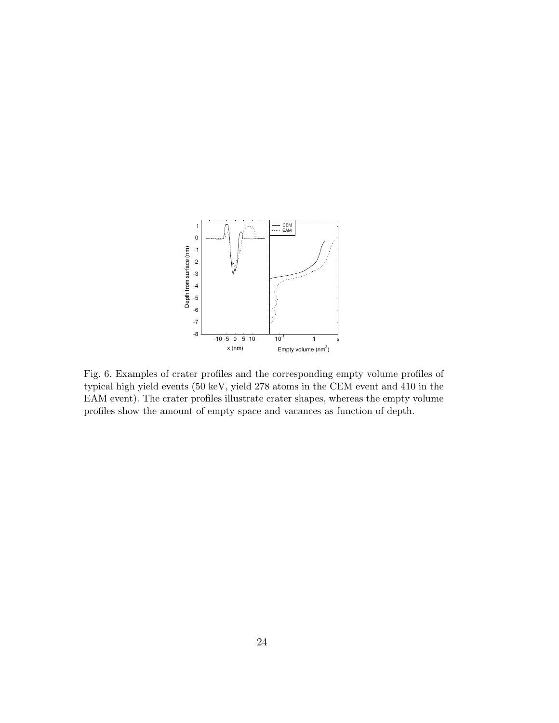

Fig. 6. Examples of crater profiles and the corresponding empty volume profiles of typical high yield events (50 keV, yield 278 atoms in the CEM event and 410 in the EAM event). The crater profiles illustrate crater shapes, whereas the empty volume profiles show the amount of empty space and vacances as function of depth.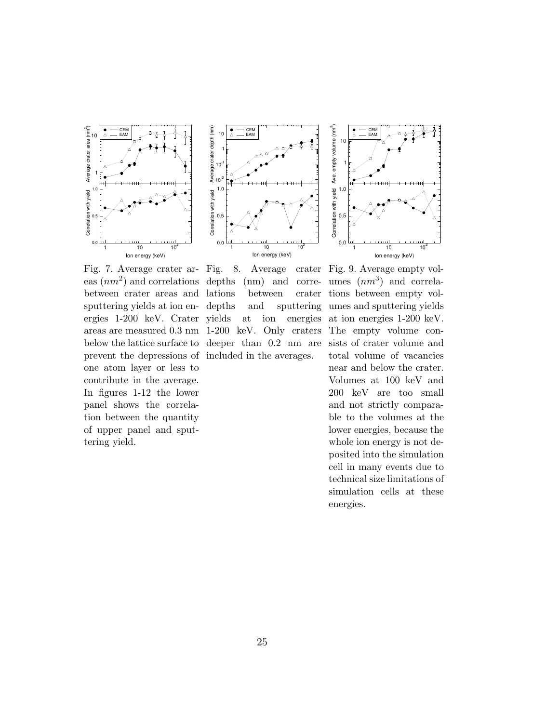





Average  $(nm)$  and correbetween crater and sputtering at ion energies



Fig. 9. Average empty volumes  $(nm^3)$  and correlations between empty volumes and sputtering yields at ion energies 1-200 keV. The empty volume consists of crater volume and total volume of vacancies near and below the crater. Volumes at 100 keV and 200 keV are too small and not strictly comparable to the volumes at the lower energies, because the whole ion energy is not deposited into the simulation cell in many events due to technical size limitations of simulation cells at these energies.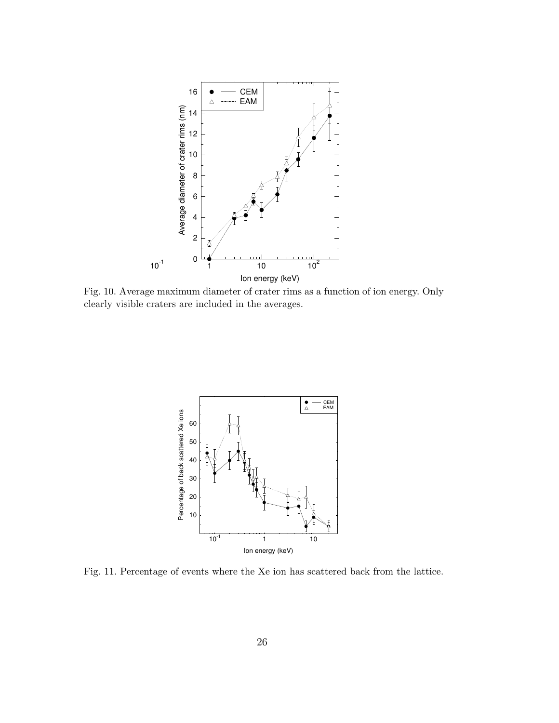

Fig. 10. Average maximum diameter of crater rims as a function of ion energy. Only clearly visible craters are included in the averages.



Fig. 11. Percentage of events where the Xe ion has scattered back from the lattice.